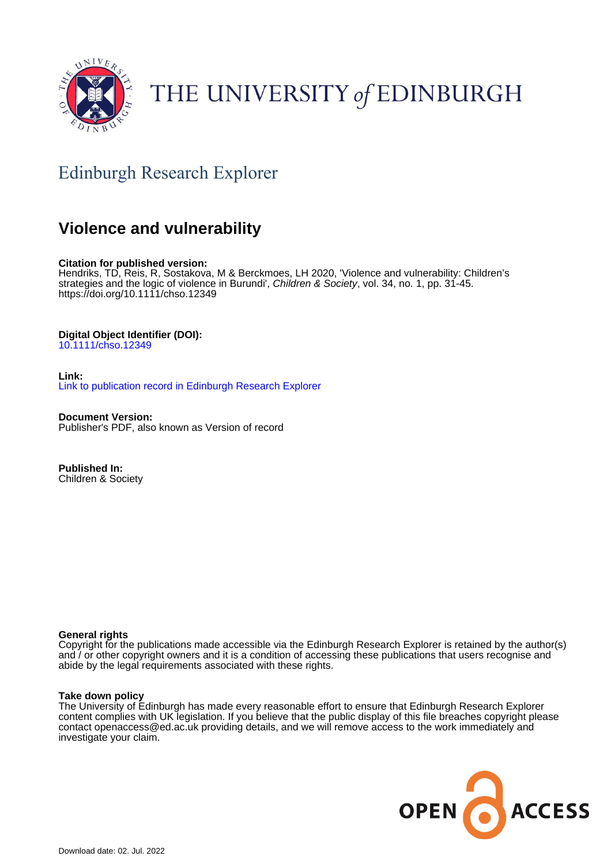

# THE UNIVERSITY of EDINBURGH

# Edinburgh Research Explorer

# **Violence and vulnerability**

# **Citation for published version:**

Hendriks, TD, Reis, R, Sostakova, M & Berckmoes, LH 2020, 'Violence and vulnerability: Children's strategies and the logic of violence in Burundi', Children & Society, vol. 34, no. 1, pp. 31-45. <https://doi.org/10.1111/chso.12349>

# **Digital Object Identifier (DOI):**

[10.1111/chso.12349](https://doi.org/10.1111/chso.12349)

**Link:** [Link to publication record in Edinburgh Research Explorer](https://www.research.ed.ac.uk/en/publications/c3802828-5496-4d8d-8510-606087629ad9)

**Document Version:** Publisher's PDF, also known as Version of record

**Published In:** Children & Society

# **General rights**

Copyright for the publications made accessible via the Edinburgh Research Explorer is retained by the author(s) and / or other copyright owners and it is a condition of accessing these publications that users recognise and abide by the legal requirements associated with these rights.

# **Take down policy**

The University of Edinburgh has made every reasonable effort to ensure that Edinburgh Research Explorer content complies with UK legislation. If you believe that the public display of this file breaches copyright please contact openaccess@ed.ac.uk providing details, and we will remove access to the work immediately and investigate your claim.

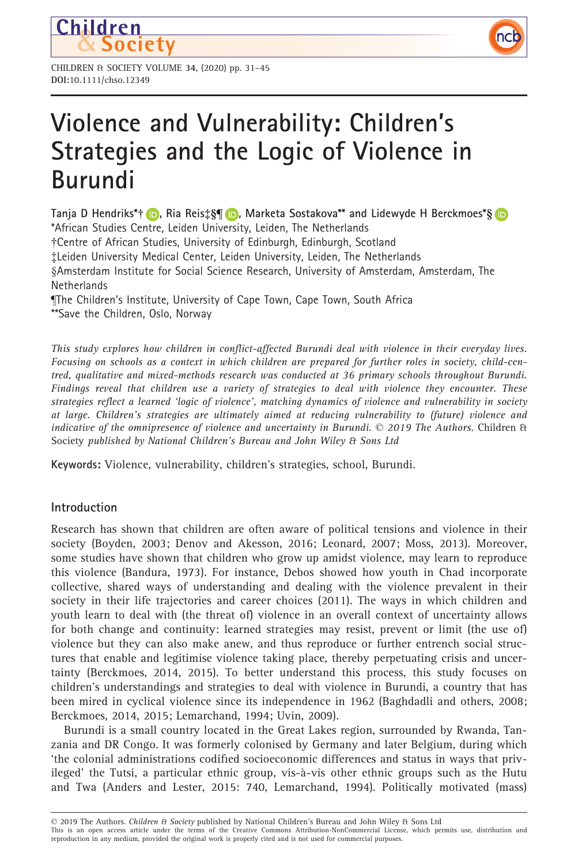

CHILDREN & SOCIETY VOLUME 34, (2020) pp. 31–45 DOI:10.1111/chso.12349

# Violence and Vulnerability: Children's Strategies and the Logic of Violence in Burundi

ncl

Tanja D Hendriks\*† D, Ria Reis‡[§](https://orcid.org/0000-0001-6378-6504)¶ D, Marketa Sostakova\*\* and Lidewyde H Berckmoes\*§ D \*African Studies Centre, Leiden University, Leiden, The Netherlands †Centre of African Studies, University of Edinburgh, Edinburgh, Scotland ‡Leiden University Medical Center, Leiden University, Leiden, The Netherlands §Amsterdam Institute for Social Science Research, University of Amsterdam, Amsterdam, The **Netherlands** ¶The Children's Institute, University of Cape Town, Cape Town, South Africa \*\*Save the Children, Oslo, Norway

This study explores how children in conflict-affected Burundi deal with violence in their everyday lives. Focusing on schools as a context in which children are prepared for further roles in society, child-centred, qualitative and mixed-methods research was conducted at 36 primary schools throughout Burundi. Findings reveal that children use a variety of strategies to deal with violence they encounter. These strategies reflect a learned 'logic of violence', matching dynamics of violence and vulnerability in society at large. Children's strategies are ultimately aimed at reducing vulnerability to (future) violence and indicative of the omnipresence of violence and uncertainty in Burundi. © 2019 The Authors. Children & Society published by National Children's Bureau and John Wiley & Sons Ltd

Keywords: Violence, vulnerability, children's strategies, school, Burundi.

### Introduction

Research has shown that children are often aware of political tensions and violence in their society (Boyden, 2003; Denov and Akesson, 2016; Leonard, 2007; Moss, 2013). Moreover, some studies have shown that children who grow up amidst violence, may learn to reproduce this violence (Bandura, 1973). For instance, Debos showed how youth in Chad incorporate collective, shared ways of understanding and dealing with the violence prevalent in their society in their life trajectories and career choices (2011). The ways in which children and youth learn to deal with (the threat of) violence in an overall context of uncertainty allows for both change and continuity: learned strategies may resist, prevent or limit (the use of) violence but they can also make anew, and thus reproduce or further entrench social structures that enable and legitimise violence taking place, thereby perpetuating crisis and uncertainty (Berckmoes, 2014, 2015). To better understand this process, this study focuses on children's understandings and strategies to deal with violence in Burundi, a country that has been mired in cyclical violence since its independence in 1962 (Baghdadli and others, 2008; Berckmoes, 2014, 2015; Lemarchand, 1994; Uvin, 2009).

Burundi is a small country located in the Great Lakes region, surrounded by Rwanda, Tanzania and DR Congo. It was formerly colonised by Germany and later Belgium, during which 'the colonial administrations codified socioeconomic differences and status in ways that privileged' the Tutsi, a particular ethnic group, vis-a-vis other ethnic groups such as the Hutu and Twa (Anders and Lester, 2015: 740, Lemarchand, 1994). Politically motivated (mass)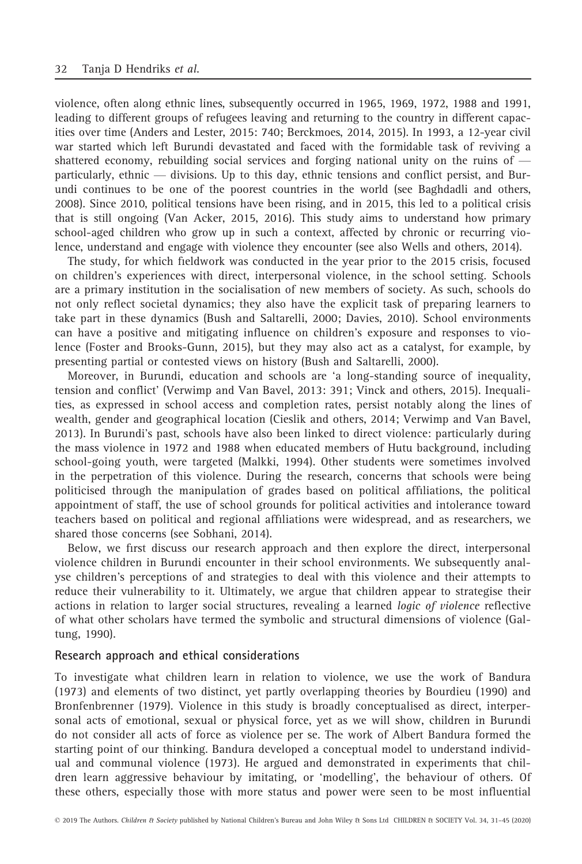violence, often along ethnic lines, subsequently occurred in 1965, 1969, 1972, 1988 and 1991, leading to different groups of refugees leaving and returning to the country in different capacities over time (Anders and Lester, 2015: 740; Berckmoes, 2014, 2015). In 1993, a 12-year civil war started which left Burundi devastated and faced with the formidable task of reviving a shattered economy, rebuilding social services and forging national unity on the ruins of  $$ particularly, ethnic — divisions. Up to this day, ethnic tensions and conflict persist, and Burundi continues to be one of the poorest countries in the world (see Baghdadli and others, 2008). Since 2010, political tensions have been rising, and in 2015, this led to a political crisis that is still ongoing (Van Acker, 2015, 2016). This study aims to understand how primary school-aged children who grow up in such a context, affected by chronic or recurring violence, understand and engage with violence they encounter (see also Wells and others, 2014).

The study, for which fieldwork was conducted in the year prior to the 2015 crisis, focused on children's experiences with direct, interpersonal violence, in the school setting. Schools are a primary institution in the socialisation of new members of society. As such, schools do not only reflect societal dynamics; they also have the explicit task of preparing learners to take part in these dynamics (Bush and Saltarelli, 2000; Davies, 2010). School environments can have a positive and mitigating influence on children's exposure and responses to violence (Foster and Brooks-Gunn, 2015), but they may also act as a catalyst, for example, by presenting partial or contested views on history (Bush and Saltarelli, 2000).

Moreover, in Burundi, education and schools are 'a long-standing source of inequality, tension and conflict' (Verwimp and Van Bavel, 2013: 391; Vinck and others, 2015). Inequalities, as expressed in school access and completion rates, persist notably along the lines of wealth, gender and geographical location (Cieslik and others, 2014; Verwimp and Van Bavel, 2013). In Burundi's past, schools have also been linked to direct violence: particularly during the mass violence in 1972 and 1988 when educated members of Hutu background, including school-going youth, were targeted (Malkki, 1994). Other students were sometimes involved in the perpetration of this violence. During the research, concerns that schools were being politicised through the manipulation of grades based on political affiliations, the political appointment of staff, the use of school grounds for political activities and intolerance toward teachers based on political and regional affiliations were widespread, and as researchers, we shared those concerns (see Sobhani, 2014).

Below, we first discuss our research approach and then explore the direct, interpersonal violence children in Burundi encounter in their school environments. We subsequently analyse children's perceptions of and strategies to deal with this violence and their attempts to reduce their vulnerability to it. Ultimately, we argue that children appear to strategise their actions in relation to larger social structures, revealing a learned logic of violence reflective of what other scholars have termed the symbolic and structural dimensions of violence (Galtung, 1990).

#### Research approach and ethical considerations

To investigate what children learn in relation to violence, we use the work of Bandura (1973) and elements of two distinct, yet partly overlapping theories by Bourdieu (1990) and Bronfenbrenner (1979). Violence in this study is broadly conceptualised as direct, interpersonal acts of emotional, sexual or physical force, yet as we will show, children in Burundi do not consider all acts of force as violence per se. The work of Albert Bandura formed the starting point of our thinking. Bandura developed a conceptual model to understand individual and communal violence (1973). He argued and demonstrated in experiments that children learn aggressive behaviour by imitating, or 'modelling', the behaviour of others. Of these others, especially those with more status and power were seen to be most influential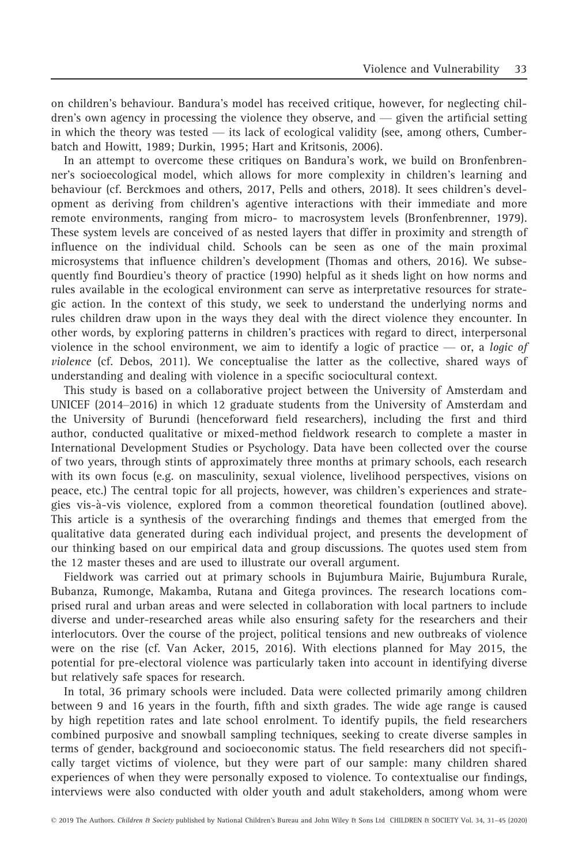on children's behaviour. Bandura's model has received critique, however, for neglecting children's own agency in processing the violence they observe, and — given the artificial setting in which the theory was tested — its lack of ecological validity (see, among others, Cumberbatch and Howitt, 1989; Durkin, 1995; Hart and Kritsonis, 2006).

In an attempt to overcome these critiques on Bandura's work, we build on Bronfenbrenner's socioecological model, which allows for more complexity in children's learning and behaviour (cf. Berckmoes and others, 2017, Pells and others, 2018). It sees children's development as deriving from children's agentive interactions with their immediate and more remote environments, ranging from micro- to macrosystem levels (Bronfenbrenner, 1979). These system levels are conceived of as nested layers that differ in proximity and strength of influence on the individual child. Schools can be seen as one of the main proximal microsystems that influence children's development (Thomas and others, 2016). We subsequently find Bourdieu's theory of practice (1990) helpful as it sheds light on how norms and rules available in the ecological environment can serve as interpretative resources for strategic action. In the context of this study, we seek to understand the underlying norms and rules children draw upon in the ways they deal with the direct violence they encounter. In other words, by exploring patterns in children's practices with regard to direct, interpersonal violence in the school environment, we aim to identify a logic of practice — or, a *logic of* violence (cf. Debos, 2011). We conceptualise the latter as the collective, shared ways of understanding and dealing with violence in a specific sociocultural context.

This study is based on a collaborative project between the University of Amsterdam and UNICEF (2014–2016) in which 12 graduate students from the University of Amsterdam and the University of Burundi (henceforward field researchers), including the first and third author, conducted qualitative or mixed-method fieldwork research to complete a master in International Development Studies or Psychology. Data have been collected over the course of two years, through stints of approximately three months at primary schools, each research with its own focus (e.g. on masculinity, sexual violence, livelihood perspectives, visions on peace, etc.) The central topic for all projects, however, was children's experiences and strategies vis-a-vis violence, explored from a common theoretical foundation (outlined above). This article is a synthesis of the overarching findings and themes that emerged from the qualitative data generated during each individual project, and presents the development of our thinking based on our empirical data and group discussions. The quotes used stem from the 12 master theses and are used to illustrate our overall argument.

Fieldwork was carried out at primary schools in Bujumbura Mairie, Bujumbura Rurale, Bubanza, Rumonge, Makamba, Rutana and Gitega provinces. The research locations comprised rural and urban areas and were selected in collaboration with local partners to include diverse and under-researched areas while also ensuring safety for the researchers and their interlocutors. Over the course of the project, political tensions and new outbreaks of violence were on the rise (cf. Van Acker, 2015, 2016). With elections planned for May 2015, the potential for pre-electoral violence was particularly taken into account in identifying diverse but relatively safe spaces for research.

In total, 36 primary schools were included. Data were collected primarily among children between 9 and 16 years in the fourth, fifth and sixth grades. The wide age range is caused by high repetition rates and late school enrolment. To identify pupils, the field researchers combined purposive and snowball sampling techniques, seeking to create diverse samples in terms of gender, background and socioeconomic status. The field researchers did not specifically target victims of violence, but they were part of our sample: many children shared experiences of when they were personally exposed to violence. To contextualise our findings, interviews were also conducted with older youth and adult stakeholders, among whom were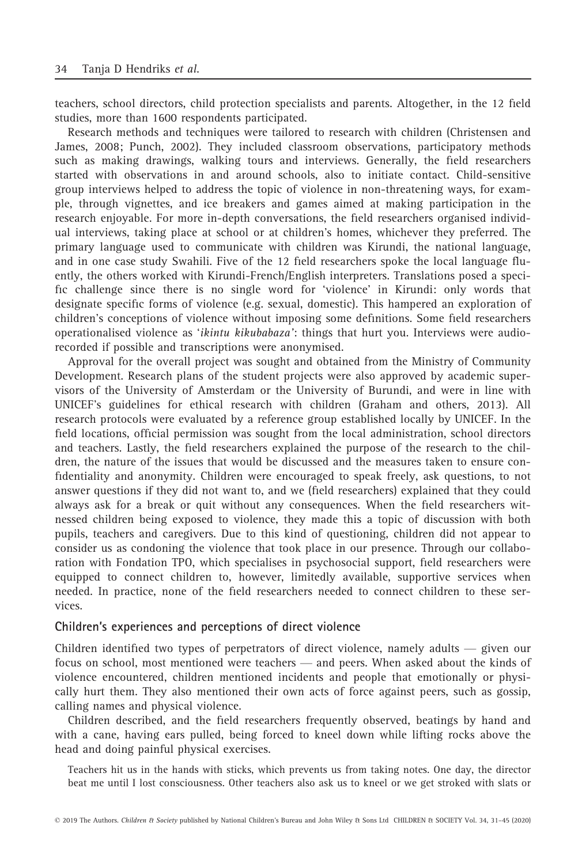teachers, school directors, child protection specialists and parents. Altogether, in the 12 field studies, more than 1600 respondents participated.

Research methods and techniques were tailored to research with children (Christensen and James, 2008; Punch, 2002). They included classroom observations, participatory methods such as making drawings, walking tours and interviews. Generally, the field researchers started with observations in and around schools, also to initiate contact. Child-sensitive group interviews helped to address the topic of violence in non-threatening ways, for example, through vignettes, and ice breakers and games aimed at making participation in the research enjoyable. For more in-depth conversations, the field researchers organised individual interviews, taking place at school or at children's homes, whichever they preferred. The primary language used to communicate with children was Kirundi, the national language, and in one case study Swahili. Five of the 12 field researchers spoke the local language fluently, the others worked with Kirundi-French/English interpreters. Translations posed a specific challenge since there is no single word for 'violence' in Kirundi: only words that designate specific forms of violence (e.g. sexual, domestic). This hampered an exploration of children's conceptions of violence without imposing some definitions. Some field researchers operationalised violence as 'ikintu kikubabaza': things that hurt you. Interviews were audiorecorded if possible and transcriptions were anonymised.

Approval for the overall project was sought and obtained from the Ministry of Community Development. Research plans of the student projects were also approved by academic supervisors of the University of Amsterdam or the University of Burundi, and were in line with UNICEF's guidelines for ethical research with children (Graham and others, 2013). All research protocols were evaluated by a reference group established locally by UNICEF. In the field locations, official permission was sought from the local administration, school directors and teachers. Lastly, the field researchers explained the purpose of the research to the children, the nature of the issues that would be discussed and the measures taken to ensure confidentiality and anonymity. Children were encouraged to speak freely, ask questions, to not answer questions if they did not want to, and we (field researchers) explained that they could always ask for a break or quit without any consequences. When the field researchers witnessed children being exposed to violence, they made this a topic of discussion with both pupils, teachers and caregivers. Due to this kind of questioning, children did not appear to consider us as condoning the violence that took place in our presence. Through our collaboration with Fondation TPO, which specialises in psychosocial support, field researchers were equipped to connect children to, however, limitedly available, supportive services when needed. In practice, none of the field researchers needed to connect children to these services.

#### Children's experiences and perceptions of direct violence

Children identified two types of perpetrators of direct violence, namely adults — given our focus on school, most mentioned were teachers — and peers. When asked about the kinds of violence encountered, children mentioned incidents and people that emotionally or physically hurt them. They also mentioned their own acts of force against peers, such as gossip, calling names and physical violence.

Children described, and the field researchers frequently observed, beatings by hand and with a cane, having ears pulled, being forced to kneel down while lifting rocks above the head and doing painful physical exercises.

Teachers hit us in the hands with sticks, which prevents us from taking notes. One day, the director beat me until I lost consciousness. Other teachers also ask us to kneel or we get stroked with slats or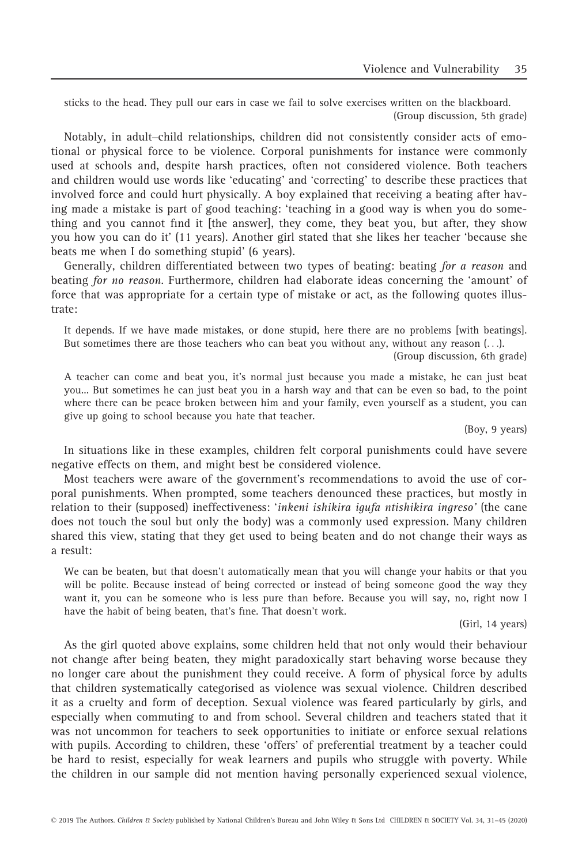sticks to the head. They pull our ears in case we fail to solve exercises written on the blackboard. (Group discussion, 5th grade)

Notably, in adult–child relationships, children did not consistently consider acts of emotional or physical force to be violence. Corporal punishments for instance were commonly used at schools and, despite harsh practices, often not considered violence. Both teachers and children would use words like 'educating' and 'correcting' to describe these practices that involved force and could hurt physically. A boy explained that receiving a beating after having made a mistake is part of good teaching: 'teaching in a good way is when you do something and you cannot find it [the answer], they come, they beat you, but after, they show you how you can do it' (11 years). Another girl stated that she likes her teacher 'because she beats me when I do something stupid' (6 years).

Generally, children differentiated between two types of beating: beating for a reason and beating for no reason. Furthermore, children had elaborate ideas concerning the 'amount' of force that was appropriate for a certain type of mistake or act, as the following quotes illustrate:

It depends. If we have made mistakes, or done stupid, here there are no problems [with beatings]. But sometimes there are those teachers who can beat you without any, without any reason (...).

(Group discussion, 6th grade)

A teacher can come and beat you, it's normal just because you made a mistake, he can just beat you... But sometimes he can just beat you in a harsh way and that can be even so bad, to the point where there can be peace broken between him and your family, even yourself as a student, you can give up going to school because you hate that teacher.

(Boy, 9 years)

In situations like in these examples, children felt corporal punishments could have severe negative effects on them, and might best be considered violence.

Most teachers were aware of the government's recommendations to avoid the use of corporal punishments. When prompted, some teachers denounced these practices, but mostly in relation to their (supposed) ineffectiveness: 'inkeni ishikira igufa ntishikira ingreso' (the cane does not touch the soul but only the body) was a commonly used expression. Many children shared this view, stating that they get used to being beaten and do not change their ways as a result:

We can be beaten, but that doesn't automatically mean that you will change your habits or that you will be polite. Because instead of being corrected or instead of being someone good the way they want it, you can be someone who is less pure than before. Because you will say, no, right now I have the habit of being beaten, that's fine. That doesn't work.

(Girl, 14 years)

As the girl quoted above explains, some children held that not only would their behaviour not change after being beaten, they might paradoxically start behaving worse because they no longer care about the punishment they could receive. A form of physical force by adults that children systematically categorised as violence was sexual violence. Children described it as a cruelty and form of deception. Sexual violence was feared particularly by girls, and especially when commuting to and from school. Several children and teachers stated that it was not uncommon for teachers to seek opportunities to initiate or enforce sexual relations with pupils. According to children, these 'offers' of preferential treatment by a teacher could be hard to resist, especially for weak learners and pupils who struggle with poverty. While the children in our sample did not mention having personally experienced sexual violence,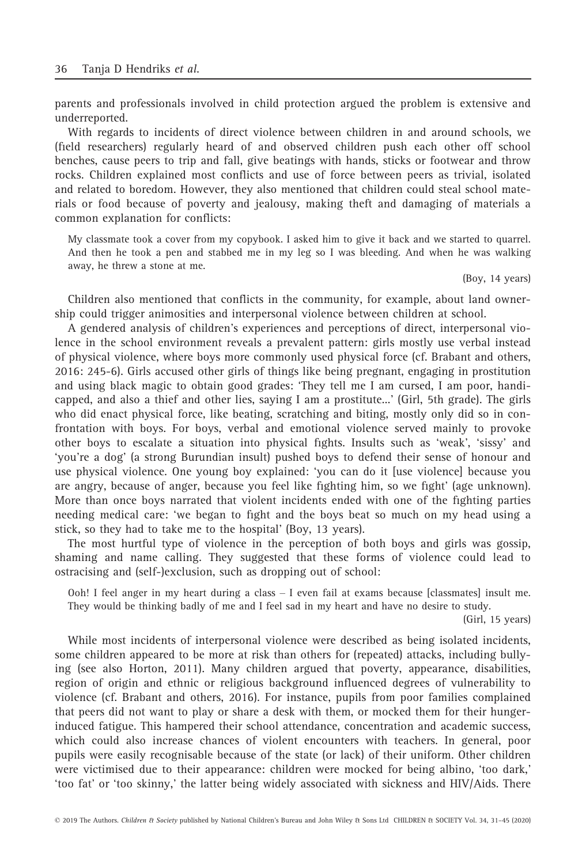parents and professionals involved in child protection argued the problem is extensive and underreported.

With regards to incidents of direct violence between children in and around schools, we (field researchers) regularly heard of and observed children push each other off school benches, cause peers to trip and fall, give beatings with hands, sticks or footwear and throw rocks. Children explained most conflicts and use of force between peers as trivial, isolated and related to boredom. However, they also mentioned that children could steal school materials or food because of poverty and jealousy, making theft and damaging of materials a common explanation for conflicts:

My classmate took a cover from my copybook. I asked him to give it back and we started to quarrel. And then he took a pen and stabbed me in my leg so I was bleeding. And when he was walking away, he threw a stone at me.

(Boy, 14 years)

Children also mentioned that conflicts in the community, for example, about land ownership could trigger animosities and interpersonal violence between children at school.

A gendered analysis of children's experiences and perceptions of direct, interpersonal violence in the school environment reveals a prevalent pattern: girls mostly use verbal instead of physical violence, where boys more commonly used physical force (cf. Brabant and others, 2016: 245-6). Girls accused other girls of things like being pregnant, engaging in prostitution and using black magic to obtain good grades: 'They tell me I am cursed, I am poor, handicapped, and also a thief and other lies, saying I am a prostitute...' (Girl, 5th grade). The girls who did enact physical force, like beating, scratching and biting, mostly only did so in confrontation with boys. For boys, verbal and emotional violence served mainly to provoke other boys to escalate a situation into physical fights. Insults such as 'weak', 'sissy' and 'you're a dog' (a strong Burundian insult) pushed boys to defend their sense of honour and use physical violence. One young boy explained: 'you can do it [use violence] because you are angry, because of anger, because you feel like fighting him, so we fight' (age unknown). More than once boys narrated that violent incidents ended with one of the fighting parties needing medical care: 'we began to fight and the boys beat so much on my head using a stick, so they had to take me to the hospital' (Boy, 13 years).

The most hurtful type of violence in the perception of both boys and girls was gossip, shaming and name calling. They suggested that these forms of violence could lead to ostracising and (self-)exclusion, such as dropping out of school:

Ooh! I feel anger in my heart during a class – I even fail at exams because [classmates] insult me. They would be thinking badly of me and I feel sad in my heart and have no desire to study.

(Girl, 15 years)

While most incidents of interpersonal violence were described as being isolated incidents, some children appeared to be more at risk than others for (repeated) attacks, including bullying (see also Horton, 2011). Many children argued that poverty, appearance, disabilities, region of origin and ethnic or religious background influenced degrees of vulnerability to violence (cf. Brabant and others, 2016). For instance, pupils from poor families complained that peers did not want to play or share a desk with them, or mocked them for their hungerinduced fatigue. This hampered their school attendance, concentration and academic success, which could also increase chances of violent encounters with teachers. In general, poor pupils were easily recognisable because of the state (or lack) of their uniform. Other children were victimised due to their appearance: children were mocked for being albino, 'too dark,' 'too fat' or 'too skinny,' the latter being widely associated with sickness and HIV/Aids. There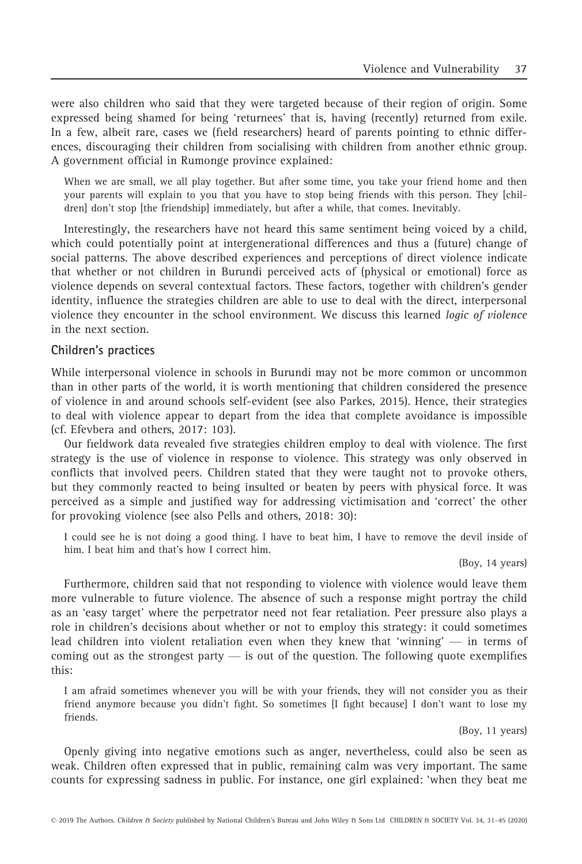were also children who said that they were targeted because of their region of origin. Some expressed being shamed for being 'returnees' that is, having (recently) returned from exile. In a few, albeit rare, cases we (field researchers) heard of parents pointing to ethnic differences, discouraging their children from socialising with children from another ethnic group. A government official in Rumonge province explained:

When we are small, we all play together. But after some time, you take your friend home and then your parents will explain to you that you have to stop being friends with this person. They [children] don't stop [the friendship] immediately, but after a while, that comes. Inevitably.

Interestingly, the researchers have not heard this same sentiment being voiced by a child, which could potentially point at intergenerational differences and thus a (future) change of social patterns. The above described experiences and perceptions of direct violence indicate that whether or not children in Burundi perceived acts of (physical or emotional) force as violence depends on several contextual factors. These factors, together with children's gender identity, influence the strategies children are able to use to deal with the direct, interpersonal violence they encounter in the school environment. We discuss this learned logic of violence in the next section.

#### Children's practices

While interpersonal violence in schools in Burundi may not be more common or uncommon than in other parts of the world, it is worth mentioning that children considered the presence of violence in and around schools self-evident (see also Parkes, 2015). Hence, their strategies to deal with violence appear to depart from the idea that complete avoidance is impossible (cf. Efevbera and others, 2017: 103).

Our fieldwork data revealed five strategies children employ to deal with violence. The first strategy is the use of violence in response to violence. This strategy was only observed in conflicts that involved peers. Children stated that they were taught not to provoke others, but they commonly reacted to being insulted or beaten by peers with physical force. It was perceived as a simple and justified way for addressing victimisation and 'correct' the other for provoking violence (see also Pells and others, 2018: 30):

I could see he is not doing a good thing. I have to beat him, I have to remove the devil inside of him. I beat him and that's how I correct him.

(Boy, 14 years)

Furthermore, children said that not responding to violence with violence would leave them more vulnerable to future violence. The absence of such a response might portray the child as an 'easy target' where the perpetrator need not fear retaliation. Peer pressure also plays a role in children's decisions about whether or not to employ this strategy: it could sometimes lead children into violent retaliation even when they knew that 'winning' — in terms of coming out as the strongest party — is out of the question. The following quote exemplifies this:

I am afraid sometimes whenever you will be with your friends, they will not consider you as their friend anymore because you didn't fight. So sometimes [I fight because] I don't want to lose my friends.

(Boy, 11 years)

Openly giving into negative emotions such as anger, nevertheless, could also be seen as weak. Children often expressed that in public, remaining calm was very important. The same counts for expressing sadness in public. For instance, one girl explained: 'when they beat me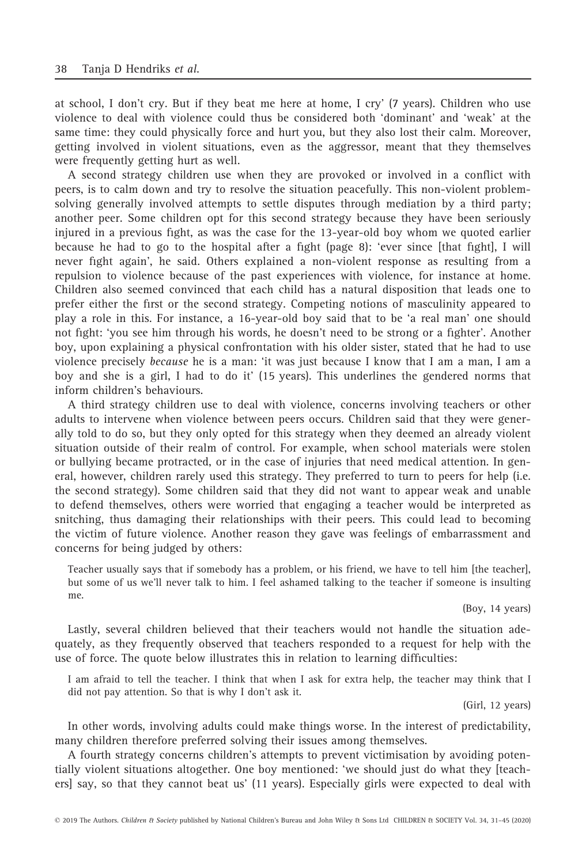at school, I don't cry. But if they beat me here at home, I cry' (7 years). Children who use violence to deal with violence could thus be considered both 'dominant' and 'weak' at the same time: they could physically force and hurt you, but they also lost their calm. Moreover, getting involved in violent situations, even as the aggressor, meant that they themselves were frequently getting hurt as well.

A second strategy children use when they are provoked or involved in a conflict with peers, is to calm down and try to resolve the situation peacefully. This non-violent problemsolving generally involved attempts to settle disputes through mediation by a third party; another peer. Some children opt for this second strategy because they have been seriously injured in a previous fight, as was the case for the 13-year-old boy whom we quoted earlier because he had to go to the hospital after a fight (page 8): 'ever since [that fight], I will never fight again', he said. Others explained a non-violent response as resulting from a repulsion to violence because of the past experiences with violence, for instance at home. Children also seemed convinced that each child has a natural disposition that leads one to prefer either the first or the second strategy. Competing notions of masculinity appeared to play a role in this. For instance, a 16-year-old boy said that to be 'a real man' one should not fight: 'you see him through his words, he doesn't need to be strong or a fighter'. Another boy, upon explaining a physical confrontation with his older sister, stated that he had to use violence precisely because he is a man: 'it was just because I know that I am a man, I am a boy and she is a girl, I had to do it' (15 years). This underlines the gendered norms that inform children's behaviours.

A third strategy children use to deal with violence, concerns involving teachers or other adults to intervene when violence between peers occurs. Children said that they were generally told to do so, but they only opted for this strategy when they deemed an already violent situation outside of their realm of control. For example, when school materials were stolen or bullying became protracted, or in the case of injuries that need medical attention. In general, however, children rarely used this strategy. They preferred to turn to peers for help (i.e. the second strategy). Some children said that they did not want to appear weak and unable to defend themselves, others were worried that engaging a teacher would be interpreted as snitching, thus damaging their relationships with their peers. This could lead to becoming the victim of future violence. Another reason they gave was feelings of embarrassment and concerns for being judged by others:

Teacher usually says that if somebody has a problem, or his friend, we have to tell him [the teacher], but some of us we'll never talk to him. I feel ashamed talking to the teacher if someone is insulting me.

(Boy, 14 years)

Lastly, several children believed that their teachers would not handle the situation adequately, as they frequently observed that teachers responded to a request for help with the use of force. The quote below illustrates this in relation to learning difficulties:

I am afraid to tell the teacher. I think that when I ask for extra help, the teacher may think that I did not pay attention. So that is why I don't ask it.

(Girl, 12 years)

In other words, involving adults could make things worse. In the interest of predictability, many children therefore preferred solving their issues among themselves.

A fourth strategy concerns children's attempts to prevent victimisation by avoiding potentially violent situations altogether. One boy mentioned: 'we should just do what they [teachers] say, so that they cannot beat us' (11 years). Especially girls were expected to deal with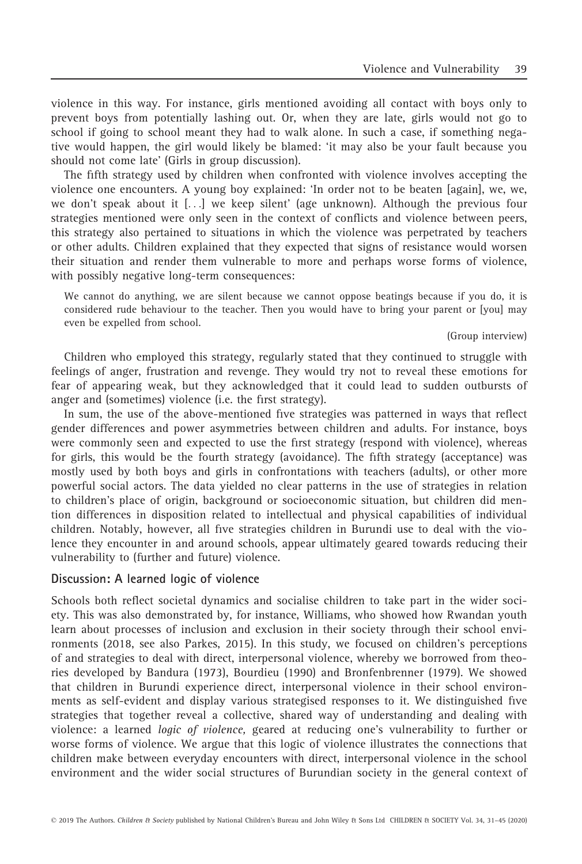violence in this way. For instance, girls mentioned avoiding all contact with boys only to prevent boys from potentially lashing out. Or, when they are late, girls would not go to school if going to school meant they had to walk alone. In such a case, if something negative would happen, the girl would likely be blamed: 'it may also be your fault because you should not come late' (Girls in group discussion).

The fifth strategy used by children when confronted with violence involves accepting the violence one encounters. A young boy explained: 'In order not to be beaten [again], we, we, we don't speak about it [...] we keep silent' (age unknown). Although the previous four strategies mentioned were only seen in the context of conflicts and violence between peers, this strategy also pertained to situations in which the violence was perpetrated by teachers or other adults. Children explained that they expected that signs of resistance would worsen their situation and render them vulnerable to more and perhaps worse forms of violence, with possibly negative long-term consequences:

We cannot do anything, we are silent because we cannot oppose beatings because if you do, it is considered rude behaviour to the teacher. Then you would have to bring your parent or [you] may even be expelled from school.

#### (Group interview)

Children who employed this strategy, regularly stated that they continued to struggle with feelings of anger, frustration and revenge. They would try not to reveal these emotions for fear of appearing weak, but they acknowledged that it could lead to sudden outbursts of anger and (sometimes) violence (i.e. the first strategy).

In sum, the use of the above-mentioned five strategies was patterned in ways that reflect gender differences and power asymmetries between children and adults. For instance, boys were commonly seen and expected to use the first strategy (respond with violence), whereas for girls, this would be the fourth strategy (avoidance). The fifth strategy (acceptance) was mostly used by both boys and girls in confrontations with teachers (adults), or other more powerful social actors. The data yielded no clear patterns in the use of strategies in relation to children's place of origin, background or socioeconomic situation, but children did mention differences in disposition related to intellectual and physical capabilities of individual children. Notably, however, all five strategies children in Burundi use to deal with the violence they encounter in and around schools, appear ultimately geared towards reducing their vulnerability to (further and future) violence.

#### Discussion: A learned logic of violence

Schools both reflect societal dynamics and socialise children to take part in the wider society. This was also demonstrated by, for instance, Williams, who showed how Rwandan youth learn about processes of inclusion and exclusion in their society through their school environments (2018, see also Parkes, 2015). In this study, we focused on children's perceptions of and strategies to deal with direct, interpersonal violence, whereby we borrowed from theories developed by Bandura (1973), Bourdieu (1990) and Bronfenbrenner (1979). We showed that children in Burundi experience direct, interpersonal violence in their school environments as self-evident and display various strategised responses to it. We distinguished five strategies that together reveal a collective, shared way of understanding and dealing with violence: a learned logic of violence, geared at reducing one's vulnerability to further or worse forms of violence. We argue that this logic of violence illustrates the connections that children make between everyday encounters with direct, interpersonal violence in the school environment and the wider social structures of Burundian society in the general context of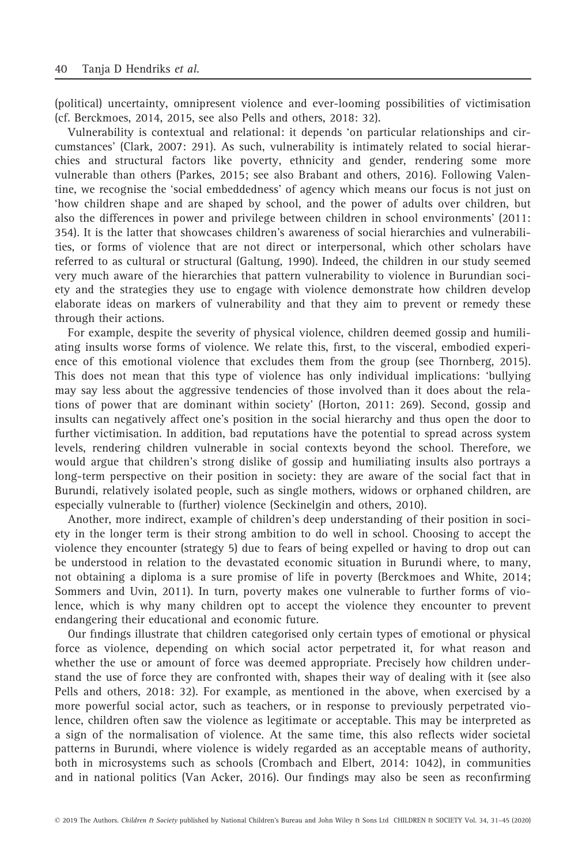(political) uncertainty, omnipresent violence and ever-looming possibilities of victimisation (cf. Berckmoes, 2014, 2015, see also Pells and others, 2018: 32).

Vulnerability is contextual and relational: it depends 'on particular relationships and circumstances' (Clark, 2007: 291). As such, vulnerability is intimately related to social hierarchies and structural factors like poverty, ethnicity and gender, rendering some more vulnerable than others (Parkes, 2015; see also Brabant and others, 2016). Following Valentine, we recognise the 'social embeddedness' of agency which means our focus is not just on 'how children shape and are shaped by school, and the power of adults over children, but also the differences in power and privilege between children in school environments' (2011: 354). It is the latter that showcases children's awareness of social hierarchies and vulnerabilities, or forms of violence that are not direct or interpersonal, which other scholars have referred to as cultural or structural (Galtung, 1990). Indeed, the children in our study seemed very much aware of the hierarchies that pattern vulnerability to violence in Burundian society and the strategies they use to engage with violence demonstrate how children develop elaborate ideas on markers of vulnerability and that they aim to prevent or remedy these through their actions.

For example, despite the severity of physical violence, children deemed gossip and humiliating insults worse forms of violence. We relate this, first, to the visceral, embodied experience of this emotional violence that excludes them from the group (see Thornberg, 2015). This does not mean that this type of violence has only individual implications: 'bullying may say less about the aggressive tendencies of those involved than it does about the relations of power that are dominant within society' (Horton, 2011: 269). Second, gossip and insults can negatively affect one's position in the social hierarchy and thus open the door to further victimisation. In addition, bad reputations have the potential to spread across system levels, rendering children vulnerable in social contexts beyond the school. Therefore, we would argue that children's strong dislike of gossip and humiliating insults also portrays a long-term perspective on their position in society: they are aware of the social fact that in Burundi, relatively isolated people, such as single mothers, widows or orphaned children, are especially vulnerable to (further) violence (Seckinelgin and others, 2010).

Another, more indirect, example of children's deep understanding of their position in society in the longer term is their strong ambition to do well in school. Choosing to accept the violence they encounter (strategy 5) due to fears of being expelled or having to drop out can be understood in relation to the devastated economic situation in Burundi where, to many, not obtaining a diploma is a sure promise of life in poverty (Berckmoes and White, 2014; Sommers and Uvin, 2011). In turn, poverty makes one vulnerable to further forms of violence, which is why many children opt to accept the violence they encounter to prevent endangering their educational and economic future.

Our findings illustrate that children categorised only certain types of emotional or physical force as violence, depending on which social actor perpetrated it, for what reason and whether the use or amount of force was deemed appropriate. Precisely how children understand the use of force they are confronted with, shapes their way of dealing with it (see also Pells and others, 2018: 32). For example, as mentioned in the above, when exercised by a more powerful social actor, such as teachers, or in response to previously perpetrated violence, children often saw the violence as legitimate or acceptable. This may be interpreted as a sign of the normalisation of violence. At the same time, this also reflects wider societal patterns in Burundi, where violence is widely regarded as an acceptable means of authority, both in microsystems such as schools (Crombach and Elbert, 2014: 1042), in communities and in national politics (Van Acker, 2016). Our findings may also be seen as reconfirming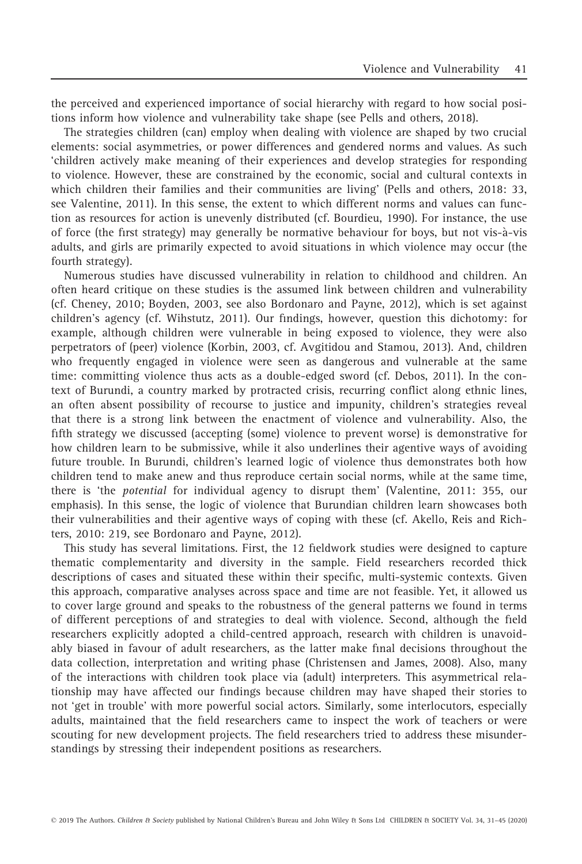the perceived and experienced importance of social hierarchy with regard to how social positions inform how violence and vulnerability take shape (see Pells and others, 2018).

The strategies children (can) employ when dealing with violence are shaped by two crucial elements: social asymmetries, or power differences and gendered norms and values. As such 'children actively make meaning of their experiences and develop strategies for responding to violence. However, these are constrained by the economic, social and cultural contexts in which children their families and their communities are living' (Pells and others, 2018: 33, see Valentine, 2011). In this sense, the extent to which different norms and values can function as resources for action is unevenly distributed (cf. Bourdieu, 1990). For instance, the use of force (the first strategy) may generally be normative behaviour for boys, but not vis-a-vis adults, and girls are primarily expected to avoid situations in which violence may occur (the fourth strategy).

Numerous studies have discussed vulnerability in relation to childhood and children. An often heard critique on these studies is the assumed link between children and vulnerability (cf. Cheney, 2010; Boyden, 2003, see also Bordonaro and Payne, 2012), which is set against children's agency (cf. Wihstutz, 2011). Our findings, however, question this dichotomy: for example, although children were vulnerable in being exposed to violence, they were also perpetrators of (peer) violence (Korbin, 2003, cf. Avgitidou and Stamou, 2013). And, children who frequently engaged in violence were seen as dangerous and vulnerable at the same time: committing violence thus acts as a double-edged sword (cf. Debos, 2011). In the context of Burundi, a country marked by protracted crisis, recurring conflict along ethnic lines, an often absent possibility of recourse to justice and impunity, children's strategies reveal that there is a strong link between the enactment of violence and vulnerability. Also, the fifth strategy we discussed (accepting (some) violence to prevent worse) is demonstrative for how children learn to be submissive, while it also underlines their agentive ways of avoiding future trouble. In Burundi, children's learned logic of violence thus demonstrates both how children tend to make anew and thus reproduce certain social norms, while at the same time, there is 'the potential for individual agency to disrupt them' (Valentine, 2011: 355, our emphasis). In this sense, the logic of violence that Burundian children learn showcases both their vulnerabilities and their agentive ways of coping with these (cf. Akello, Reis and Richters, 2010: 219, see Bordonaro and Payne, 2012).

This study has several limitations. First, the 12 fieldwork studies were designed to capture thematic complementarity and diversity in the sample. Field researchers recorded thick descriptions of cases and situated these within their specific, multi-systemic contexts. Given this approach, comparative analyses across space and time are not feasible. Yet, it allowed us to cover large ground and speaks to the robustness of the general patterns we found in terms of different perceptions of and strategies to deal with violence. Second, although the field researchers explicitly adopted a child-centred approach, research with children is unavoidably biased in favour of adult researchers, as the latter make final decisions throughout the data collection, interpretation and writing phase (Christensen and James, 2008). Also, many of the interactions with children took place via (adult) interpreters. This asymmetrical relationship may have affected our findings because children may have shaped their stories to not 'get in trouble' with more powerful social actors. Similarly, some interlocutors, especially adults, maintained that the field researchers came to inspect the work of teachers or were scouting for new development projects. The field researchers tried to address these misunderstandings by stressing their independent positions as researchers.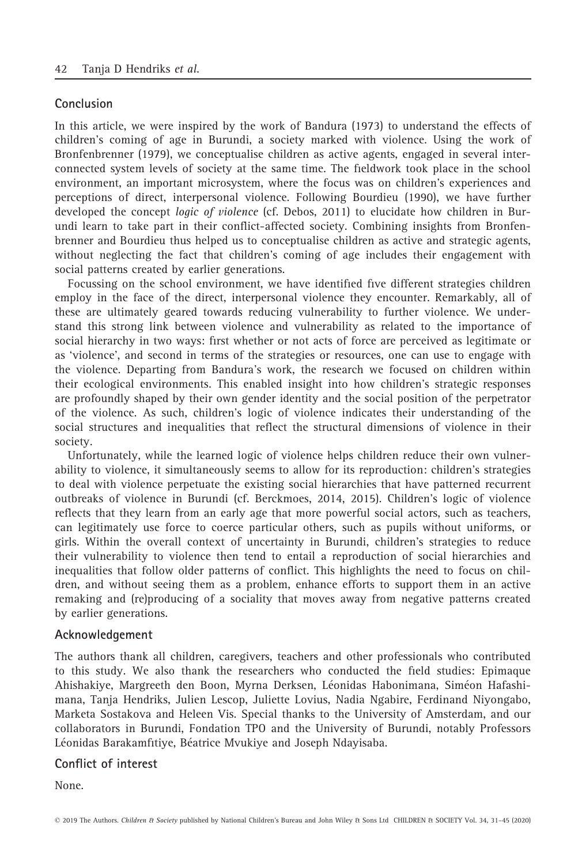### Conclusion

In this article, we were inspired by the work of Bandura (1973) to understand the effects of children's coming of age in Burundi, a society marked with violence. Using the work of Bronfenbrenner (1979), we conceptualise children as active agents, engaged in several interconnected system levels of society at the same time. The fieldwork took place in the school environment, an important microsystem, where the focus was on children's experiences and perceptions of direct, interpersonal violence. Following Bourdieu (1990), we have further developed the concept logic of violence (cf. Debos, 2011) to elucidate how children in Burundi learn to take part in their conflict-affected society. Combining insights from Bronfenbrenner and Bourdieu thus helped us to conceptualise children as active and strategic agents, without neglecting the fact that children's coming of age includes their engagement with social patterns created by earlier generations.

Focussing on the school environment, we have identified five different strategies children employ in the face of the direct, interpersonal violence they encounter. Remarkably, all of these are ultimately geared towards reducing vulnerability to further violence. We understand this strong link between violence and vulnerability as related to the importance of social hierarchy in two ways: first whether or not acts of force are perceived as legitimate or as 'violence', and second in terms of the strategies or resources, one can use to engage with the violence. Departing from Bandura's work, the research we focused on children within their ecological environments. This enabled insight into how children's strategic responses are profoundly shaped by their own gender identity and the social position of the perpetrator of the violence. As such, children's logic of violence indicates their understanding of the social structures and inequalities that reflect the structural dimensions of violence in their society.

Unfortunately, while the learned logic of violence helps children reduce their own vulnerability to violence, it simultaneously seems to allow for its reproduction: children's strategies to deal with violence perpetuate the existing social hierarchies that have patterned recurrent outbreaks of violence in Burundi (cf. Berckmoes, 2014, 2015). Children's logic of violence reflects that they learn from an early age that more powerful social actors, such as teachers, can legitimately use force to coerce particular others, such as pupils without uniforms, or girls. Within the overall context of uncertainty in Burundi, children's strategies to reduce their vulnerability to violence then tend to entail a reproduction of social hierarchies and inequalities that follow older patterns of conflict. This highlights the need to focus on children, and without seeing them as a problem, enhance efforts to support them in an active remaking and (re)producing of a sociality that moves away from negative patterns created by earlier generations.

#### Acknowledgement

The authors thank all children, caregivers, teachers and other professionals who contributed to this study. We also thank the researchers who conducted the field studies: Epimaque Ahishakiye, Margreeth den Boon, Myrna Derksen, Léonidas Habonimana, Siméon Hafashimana, Tanja Hendriks, Julien Lescop, Juliette Lovius, Nadia Ngabire, Ferdinand Niyongabo, Marketa Sostakova and Heleen Vis. Special thanks to the University of Amsterdam, and our collaborators in Burundi, Fondation TPO and the University of Burundi, notably Professors Léonidas Barakamfitiye, Béatrice Mvukiye and Joseph Ndayisaba.

#### Conflict of interest

None.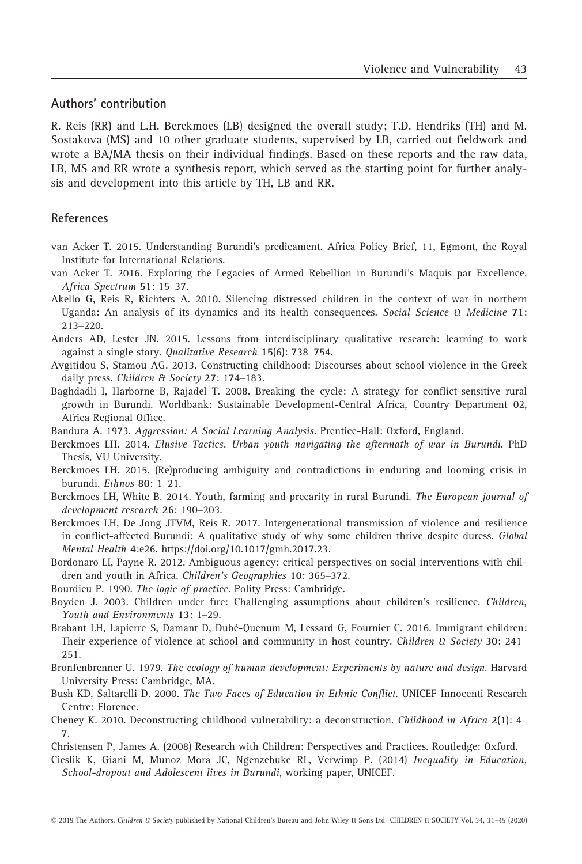# Authors' contribution

R. Reis (RR) and L.H. Berckmoes (LB) designed the overall study; T.D. Hendriks (TH) and M. Sostakova (MS) and 10 other graduate students, supervised by LB, carried out fieldwork and wrote a BA/MA thesis on their individual findings. Based on these reports and the raw data, LB, MS and RR wrote a synthesis report, which served as the starting point for further analysis and development into this article by TH, LB and RR.

### References

- van Acker T. 2015. Understanding Burundi's predicament. Africa Policy Brief, 11, Egmont, the Royal Institute for International Relations.
- van Acker T. 2016. Exploring the Legacies of Armed Rebellion in Burundi's Maquis par Excellence. Africa Spectrum 51: 15–37.
- Akello G, Reis R, Richters A. 2010. Silencing distressed children in the context of war in northern Uganda: An analysis of its dynamics and its health consequences. Social Science  $\mathcal{H}$  Medicine 71: 213–220.
- Anders AD, Lester JN. 2015. Lessons from interdisciplinary qualitative research: learning to work against a single story. Qualitative Research 15(6): 738–754.
- Avgitidou S, Stamou AG. 2013. Constructing childhood: Discourses about school violence in the Greek daily press. Children & Society 27: 174-183.
- Baghdadli I, Harborne B, Rajadel T. 2008. Breaking the cycle: A strategy for conflict-sensitive rural growth in Burundi. Worldbank: Sustainable Development-Central Africa, Country Department 02, Africa Regional Office.
- Bandura A. 1973. Aggression: A Social Learning Analysis. Prentice-Hall: Oxford, England.
- Berckmoes LH. 2014. Elusive Tactics. Urban youth navigating the aftermath of war in Burundi. PhD Thesis, VU University.
- Berckmoes LH. 2015. (Re)producing ambiguity and contradictions in enduring and looming crisis in burundi. Ethnos 80: 1–21.
- Berckmoes LH, White B. 2014. Youth, farming and precarity in rural Burundi. The European journal of development research 26: 190–203.
- Berckmoes LH, De Jong JTVM, Reis R. 2017. Intergenerational transmission of violence and resilience in conflict-affected Burundi: A qualitative study of why some children thrive despite duress. Global Mental Health 4:e26.<https://doi.org/10.1017/gmh.2017.23>.
- Bordonaro LI, Payne R. 2012. Ambiguous agency: critical perspectives on social interventions with children and youth in Africa. Children's Geographies 10: 365–372.
- Bourdieu P. 1990. The logic of practice. Polity Press: Cambridge.
- Boyden J. 2003. Children under fire: Challenging assumptions about children's resilience. Children, Youth and Environments 13: 1–29.
- Brabant LH, Lapierre S, Damant D, Dube-Quenum M, Lessard G, Fournier C. 2016. Immigrant children: Their experience of violence at school and community in host country. Children & Society 30: 241– 251.
- Bronfenbrenner U. 1979. The ecology of human development: Experiments by nature and design. Harvard University Press: Cambridge, MA.

Bush KD, Saltarelli D. 2000. The Two Faces of Education in Ethnic Conflict. UNICEF Innocenti Research Centre: Florence.

- Cheney K. 2010. Deconstructing childhood vulnerability: a deconstruction. Childhood in Africa 2(1): 4– 7.
- Christensen P, James A. (2008) Research with Children: Perspectives and Practices. Routledge: Oxford.
- Cieslik K, Giani M, Munoz Mora JC, Ngenzebuke RL, Verwimp P. (2014) Inequality in Education, School-dropout and Adolescent lives in Burundi, working paper, UNICEF.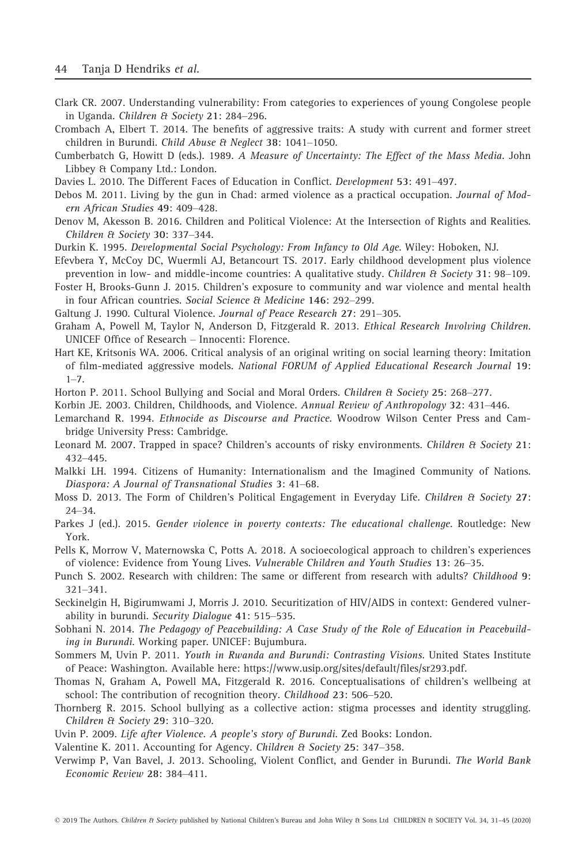- Clark CR. 2007. Understanding vulnerability: From categories to experiences of young Congolese people in Uganda. Children & Society 21: 284–296.
- Crombach A, Elbert T. 2014. The benefits of aggressive traits: A study with current and former street children in Burundi. Child Abuse & Neglect 38: 1041–1050.
- Cumberbatch G, Howitt D (eds.). 1989. A Measure of Uncertainty: The Effect of the Mass Media. John Libbey & Company Ltd.: London.
- Davies L. 2010. The Different Faces of Education in Conflict. Development 53: 491–497.
- Debos M. 2011. Living by the gun in Chad: armed violence as a practical occupation. Journal of Modern African Studies 49: 409–428.
- Denov M, Akesson B. 2016. Children and Political Violence: At the Intersection of Rights and Realities. Children & Society 30: 337–344.
- Durkin K. 1995. Developmental Social Psychology: From Infancy to Old Age. Wiley: Hoboken, NJ.
- Efevbera Y, McCoy DC, Wuermli AJ, Betancourt TS. 2017. Early childhood development plus violence prevention in low- and middle-income countries: A qualitative study. Children & Society 31: 98-109.
- Foster H, Brooks-Gunn J. 2015. Children's exposure to community and war violence and mental health in four African countries. Social Science & Medicine 146: 292-299.
- Galtung J. 1990. Cultural Violence. Journal of Peace Research 27: 291–305.
- Graham A, Powell M, Taylor N, Anderson D, Fitzgerald R. 2013. Ethical Research Involving Children. UNICEF Office of Research – Innocenti: Florence.
- Hart KE, Kritsonis WA. 2006. Critical analysis of an original writing on social learning theory: Imitation of film-mediated aggressive models. National FORUM of Applied Educational Research Journal 19:  $1 - 7$ .
- Horton P. 2011. School Bullying and Social and Moral Orders. Children & Society 25: 268–277.
- Korbin JE. 2003. Children, Childhoods, and Violence. Annual Review of Anthropology 32: 431–446.
- Lemarchand R. 1994. Ethnocide as Discourse and Practice. Woodrow Wilson Center Press and Cambridge University Press: Cambridge.
- Leonard M. 2007. Trapped in space? Children's accounts of risky environments. Children & Society 21: 432–445.
- Malkki LH. 1994. Citizens of Humanity: Internationalism and the Imagined Community of Nations. Diaspora: A Journal of Transnational Studies 3: 41–68.
- Moss D. 2013. The Form of Children's Political Engagement in Everyday Life. Children & Society 27: 24–34.
- Parkes J (ed.). 2015. Gender violence in poverty contexts: The educational challenge. Routledge: New York.
- Pells K, Morrow V, Maternowska C, Potts A. 2018. A socioecological approach to children's experiences of violence: Evidence from Young Lives. Vulnerable Children and Youth Studies 13: 26–35.
- Punch S. 2002. Research with children: The same or different from research with adults? Childhood 9: 321–341.
- Seckinelgin H, Bigirumwami J, Morris J. 2010. Securitization of HIV/AIDS in context: Gendered vulnerability in burundi. Security Dialogue 41: 515–535.
- Sobhani N. 2014. The Pedagogy of Peacebuilding: A Case Study of the Role of Education in Peacebuilding in Burundi. Working paper. UNICEF: Bujumbura.
- Sommers M, Uvin P. 2011. Youth in Rwanda and Burundi: Contrasting Visions. United States Institute of Peace: Washington. Available here: [https://www.usip.org/sites/default/files/sr293.pdf.](https://www.usip.org/sites/default/files/sr293.pdf)
- Thomas N, Graham A, Powell MA, Fitzgerald R. 2016. Conceptualisations of children's wellbeing at school: The contribution of recognition theory. Childhood 23: 506–520.
- Thornberg R. 2015. School bullying as a collective action: stigma processes and identity struggling. Children & Society 29: 310–320.
- Uvin P. 2009. Life after Violence. A people's story of Burundi. Zed Books: London.
- Valentine K. 2011. Accounting for Agency. Children & Society 25: 347–358.
- Verwimp P, Van Bavel, J. 2013. Schooling, Violent Conflict, and Gender in Burundi. The World Bank Economic Review 28: 384–411.